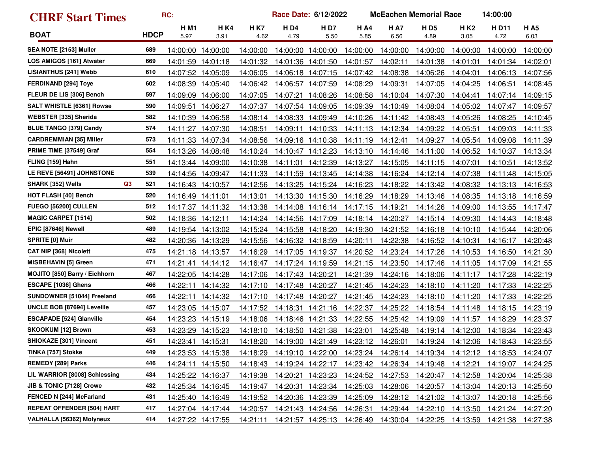| <b>CHRF Start Times</b>                    | RC:         |                    |                    |                    | Race Date: 6/12/2022 |                    |                     |                     | <b>McEachen Memorial Race</b> | 14:00:00           |              |                    |
|--------------------------------------------|-------------|--------------------|--------------------|--------------------|----------------------|--------------------|---------------------|---------------------|-------------------------------|--------------------|--------------|--------------------|
| <b>BOAT</b>                                | <b>HDCP</b> | <b>HM1</b><br>5.97 | <b>HK4</b><br>3.91 | <b>HK7</b><br>4.62 | <b>HD4</b><br>4.79   | <b>HD7</b><br>5.50 | <b>H A4</b><br>5.85 | <b>H A7</b><br>6.56 | <b>HD5</b><br>4.89            | <b>HK2</b><br>3.05 | HD11<br>4.72 | <b>HA5</b><br>6.03 |
| SEA NOTE [2153] Muller                     | 689         | 14:00:00           | 14:00:00           | 14:00:00           |                      | 14:00:00 14:00:00  | 14:00:00            | 14:00:00            | 14:00:00                      | 14:00:00           | 14:00:00     | 14:00:00           |
| LOS AMIGOS [161] Atwater                   | 669         | 14:01:59           | 14:01:18           | 14:01:32           |                      | 14:01:36 14:01:50  | 14:01:57            | 14:02:11            | 14:01:38                      | 14:01:01           | 14:01:34     | 14:02:01           |
| <b>LISIANTHUS [241] Webb</b>               | 610         | 14:07:52           | 14:05:09           | 14:06:05           |                      | 14:06:18 14:07:15  | 14:07:42            | 14:08:38            | 14:06:26                      | 14:04:01           | 14:06:13     | 14:07:56           |
| <b>FERDINAND [294] Toye</b>                | 602         | 14:08:39           | 14:05:40           | 14:06:42           |                      | 14:06:57 14:07:59  | 14:08:29            | 14:09:31            | 14:07:05                      | 14:04:25           | 14:06:51     | 14:08:45           |
| FLEUR DE LIS [306] Bench                   | 597         | 14:09:09           | 14:06:00           | 14:07:05           | 14:07:21             | 14:08:26           | 14:08:58            | 14:10:04            | 14:07:30                      | 14:04:41           | 14:07:14     | 14:09:15           |
| <b>SALT WHISTLE [6361] Rowse</b>           | 590         | 14:09:51           | 14:06:27           | 14:07:37           |                      | 14:07:54 14:09:05  | 14:09:39            | 14:10:49            | 14:08:04                      | 14:05:02           | 14:07:47     | 14:09:57           |
| <b>WEBSTER [335] Sherida</b>               | 582         | 14:10:39           | 14:06:58           | 14:08:14           |                      | 14:08:33 14:09:49  | 14:10:26            | 14:11:42            | 14:08:43                      | 14:05:26           | 14:08:25     | 14:10:45           |
| <b>BLUE TANGO [379] Candy</b>              | 574         | 14:11:27           | 14:07:30           | 14:08:51           | 14:09:11             | 14:10:33           | 14:11:13            | 14:12:34            | 14:09:22                      | 14:05:51           | 14:09:03     | 14:11:33           |
| <b>CARDREMMIAN [35] Miller</b>             | 573         | 14:11:33           | 14:07:34           | 14:08:56           |                      | 14:09:16 14:10:38  | 14:11:19            | 14:12:41            | 14:09:27                      | 14:05:54           | 14:09:08     | 14:11:39           |
| PRIME TIME [37549] Graf                    | 554         | 14:13:26           | 14:08:48           | 14:10:24           |                      | 14:10:47 14:12:23  | 14:13:10            | 14:14:46            | 14:11:00                      | 14:06:52           | 14:10:37     | <u>14:13:34</u>    |
| FLING [159] Hahn                           | 551         | 14:13:44 14:09:00  |                    | 14:10:38           | 14:11:01             | 14:12:39           | 14:13:27            | 14:15:05            | 14:11:15                      | 14:07:01           | 14:10:51     | 14:13:52           |
| LE REVE [56491] JOHNSTONE                  | 539         | 14:14:56           | 14:09:47           | 14:11:33           |                      | 14:11:59 14:13:45  | 14:14:38            | 14:16:24            | 14:12:14                      | 14:07:38           | 14:11:48     | <u>14:15:05</u>    |
| Q <sub>3</sub><br><b>SHARK [352] Wells</b> | 521         | 14:16:43           | 14:10:57           | 14:12:56           |                      | 14:13:25 14:15:24  | 14:16:23            | 14:18:22            | 14:13:42                      | 14:08:32           | 14:13:13     | <u>14:16:53</u>    |
| <b>HOT FLASH [40] Bench</b>                | 520         | 14:16:49 14:11:01  |                    | 14:13:01           |                      | 14:13:30 14:15:30  | 14:16:29            | 14:18:29            | 14:13:46                      | 14:08:35           | 14:13:18     | 14:16:59           |
| <b>FUEGO [56200] CULLEN</b>                | 512         | 14:17:37           | 14:11:32           | 14:13:38           |                      | 14:14:08 14:16:14  | 14:17:15            | <u>14:19:21</u>     | 14:14:26                      | 14:09:00           | 14:13:55     | 14:17:47           |
| <b>MAGIC CARPET [1514]</b>                 | 502         | 14:18:36           | 14:12:11           | 14:14:24           |                      | 14:14:56 14:17:09  | 14:18:14            | 14:20:27            | 14:15:14                      | 14:09:30           | 14:14:43     | 14:18:48           |
| EPIC [87646] Newell                        | 489         |                    | 14:19:54 14:13:02  | 14:15:24           |                      | 14:15:58 14:18:20  | 14:19:30            | 14:21:52            | 14:16:18                      | 14:10:10           | 14:15:44     | 14:20:06           |
| <b>SPRITE [0] Muir</b>                     | 482         | 14:20:36           | 14:13:29           | 14:15:56           |                      | 14:16:32 14:18:59  | 14:20:11            | 14:22:38            | 14:16:52                      | 14:10:31           | 14:16:17     | 14:20:48           |
| <b>CAT NIP [368] Nicolett</b>              | 475         | 14:21:18           | 14:13:57           | 14:16:29           |                      | 14:17:05 14:19:37  | 14:20:52            | 14:23:24            | 14:17:26                      | 14:10:53           | 14:16:50     | 14:21:30           |
| <b>MISBEHAVIN [5] Green</b>                | 471         |                    | 14:21:41 14:14:12  | 14:16:47           |                      | 14:17:24 14:19:59  | 14:21:15            | 14:23:50            | 14:17:46                      | 14:11:05           | 14:17:09     | 14:21:55           |
| MOJITO [850] Barry / Eichhorn              | 467         | 14:22:05           | 14:14:28           | 14:17:06           | 14:17:43 14:20:21    |                    | 14:21:39            | 14:24:16            | 14:18:06                      | 14:11:17           | 14:17:28     | 14:22:19           |
| ESCAPE [1036] Ghens                        | 466         | 14:22:11           | 14:14:32           | 14:17:10           |                      | 14:17:48 14:20:27  | 14:21:45            | 14:24:23            | 14:18:10                      | 14:11:20           | 14:17:33     | 14:22:25           |
| SUNDOWNER [51044] Freeland                 | 466         | 14:22:11           | 14:14:32           | 14:17:10           |                      | 14:17:48 14:20:27  | 14:21:45            | 14:24:23            | 14:18:10                      | 14:11:20           | 14:17:33     | 14:22:25           |
| UNCLE BOB [87694] Leveille                 | 457         | 14:23:05           | 14:15:07           | 14:17:52           | 14:18:31             | 14:21:16           | 14:22:37            | 14:25:22            | 14:18:54                      | 14:11:48           | 14:18:15     | 14:23:19           |
| <b>ESCAPADE [524] Glanville</b>            | 454         | 14:23:23           | 14:15:19           | 14:18:06           | 14:18:46             | 14:21:33           | 14:22:55            | 14:25:42            | 14:19:09                      | 14:11:57           | 14:18:29     | 14:23:37           |
| <b>SKOOKUM [12] Brown</b>                  | 453         | 14:23:29           | 14:15:23           | 14:18:10           |                      | 14:18:50 14:21:38  | 14:23:01            | 14:25:48            | 14:19:14                      | 14:12:00           | 14:18:34     | 14:23:43           |
| SHIOKAZE [301] Vincent                     | 451         | 14:23:41 14:15:31  |                    | 14:18:20           |                      | 14:19:00 14:21:49  | 14:23:12            | 14:26:01            | 14:19:24                      | 14:12:06           | 14:18:43     | 14:23:55           |
| TINKA [757] Stokke                         | 449         |                    | 14:23:53 14:15:38  | 14:18:29           |                      | 14:19:10 14:22:00  |                     |                     | 14:23:24  14:26:14  14:19:34  | 14:12:12           | 14:18:53     | 14:24:07           |
| <b>REMEDY [289] Parks</b>                  | 446         | 14:24:11           | 14:15:50           | 14:18:43           |                      | 14:19:24 14:22:17  | 14:23:42            | 14:26:34            | 14:19:48                      | 14:12:21           | 14:19:07     | 14:24:25           |
| LIL WARRIOR [8008] Schlessing              | 434         |                    | 14:25:22 14:16:37  | 14:19:38           |                      | 14:20:21 14:23:23  | 14:24:52            | 14:27:53            | 14:20:47                      | 14:12:58           | 14:20:04     | 14:25:38           |
| JIB & TONIC [7128] Crowe                   | 432         |                    | 14:25:34 14:16:45  | 14:19:47           | 14:20:31             | 14:23:34           | 14:25:03            | 14:28:06            | 14:20:57                      | 14:13:04           | 14:20:13     | 14:25:50           |
| FENCED N [244] McFarland                   | 431         |                    | 14:25:40 14:16:49  | 14:19:52           |                      | 14:20:36 14:23:39  | 14:25:09            | 14:28:12            | 14:21:02                      | 14:13:07           | 14:20:18     | 14:25:56           |
| <b>REPEAT OFFENDER [504] HART</b>          | 417         |                    | 14:27:04 14:17:44  | 14:20:57           |                      | 14:21:43 14:24:56  | 14:26:31            | 14:29:44            | 14:22:10                      | 14:13:50           | 14:21:24     | 14:27:20           |
| VALHALLA [56362] Molyneux                  | 414         |                    | 14:27:22 14:17:55  | 14:21:11           |                      | 14:21:57 14:25:13  | 14:26:49            | 14:30:04            | 14:22:25                      | 14:13:59           | 14:21:38     | 14:27:38           |